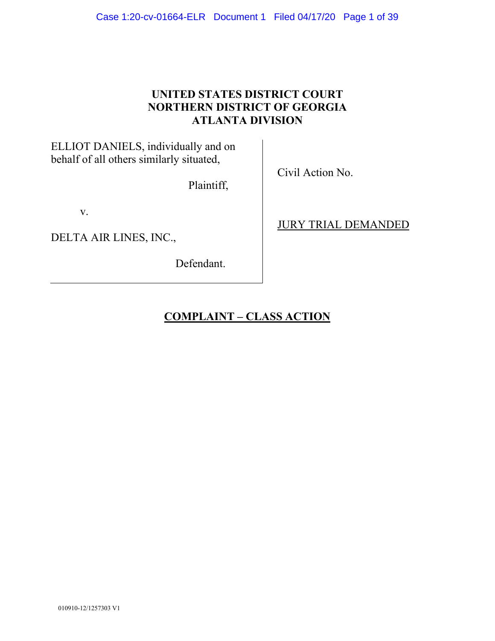# **UNITED STATES DISTRICT COURT NORTHERN DISTRICT OF GEORGIA ATLANTA DIVISION**

ELLIOT DANIELS, individually and on behalf of all others similarly situated,

Plaintiff,

v.

DELTA AIR LINES, INC.,

Defendant.

Civil Action No.

JURY TRIAL DEMANDED

**COMPLAINT – CLASS ACTION**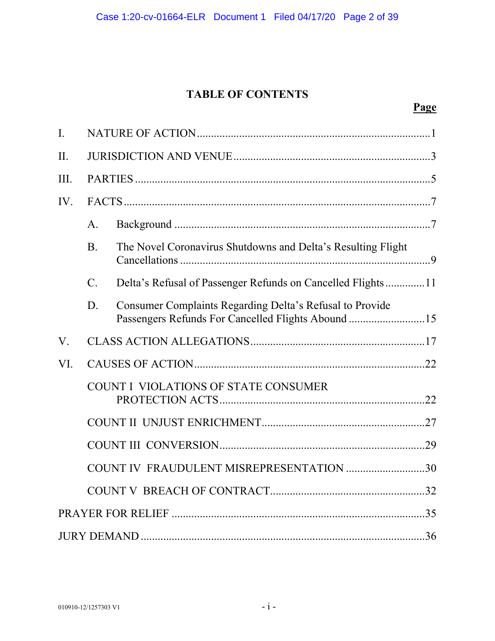# **TABLE OF CONTENTS**

| $\mathbf{I}$ . |                                                                                  |                                                                                                                |  |  |
|----------------|----------------------------------------------------------------------------------|----------------------------------------------------------------------------------------------------------------|--|--|
| II.            |                                                                                  |                                                                                                                |  |  |
| III.           |                                                                                  |                                                                                                                |  |  |
| IV.            |                                                                                  |                                                                                                                |  |  |
|                | A.                                                                               |                                                                                                                |  |  |
|                | <b>B.</b>                                                                        | The Novel Coronavirus Shutdowns and Delta's Resulting Flight                                                   |  |  |
|                | $\mathbf{C}$ .                                                                   | Delta's Refusal of Passenger Refunds on Cancelled Flights11                                                    |  |  |
|                | D.                                                                               | Consumer Complaints Regarding Delta's Refusal to Provide<br>Passengers Refunds For Cancelled Flights Abound 15 |  |  |
| V.             |                                                                                  |                                                                                                                |  |  |
| VI.            |                                                                                  |                                                                                                                |  |  |
|                | COUNT I VIOLATIONS OF STATE CONSUMER<br>COUNT IV FRAUDULENT MISREPRESENTATION 30 |                                                                                                                |  |  |
|                |                                                                                  |                                                                                                                |  |  |
|                |                                                                                  |                                                                                                                |  |  |
|                |                                                                                  |                                                                                                                |  |  |
|                |                                                                                  |                                                                                                                |  |  |
|                |                                                                                  |                                                                                                                |  |  |
|                |                                                                                  |                                                                                                                |  |  |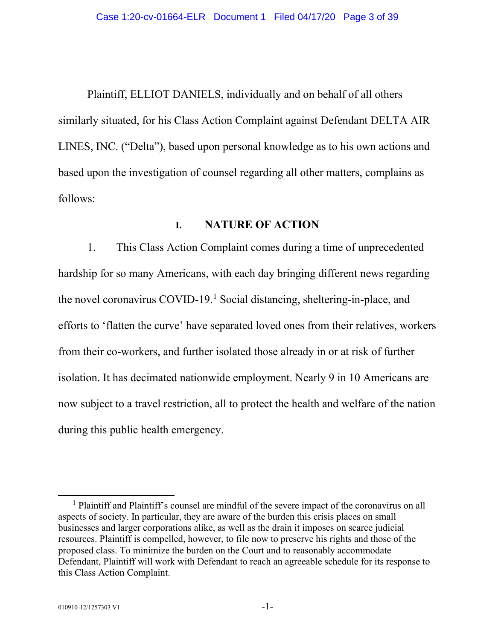Plaintiff, ELLIOT DANIELS, individually and on behalf of all others similarly situated, for his Class Action Complaint against Defendant DELTA AIR LINES, INC. ("Delta"), based upon personal knowledge as to his own actions and based upon the investigation of counsel regarding all other matters, complains as follows:

## **I. NATURE OF ACTION**

1. This Class Action Complaint comes during a time of unprecedented hardship for so many Americans, with each day bringing different news regarding the novel coronavirus COVID-19.[1](#page-2-0) Social distancing, sheltering-in-place, and efforts to 'flatten the curve' have separated loved ones from their relatives, workers from their co-workers, and further isolated those already in or at risk of further isolation. It has decimated nationwide employment. Nearly 9 in 10 Americans are now subject to a travel restriction, all to protect the health and welfare of the nation during this public health emergency.

<span id="page-2-0"></span><sup>&</sup>lt;sup>1</sup> Plaintiff and Plaintiff's counsel are mindful of the severe impact of the coronavirus on all aspects of society. In particular, they are aware of the burden this crisis places on small businesses and larger corporations alike, as well as the drain it imposes on scarce judicial resources. Plaintiff is compelled, however, to file now to preserve his rights and those of the proposed class. To minimize the burden on the Court and to reasonably accommodate Defendant, Plaintiff will work with Defendant to reach an agreeable schedule for its response to this Class Action Complaint.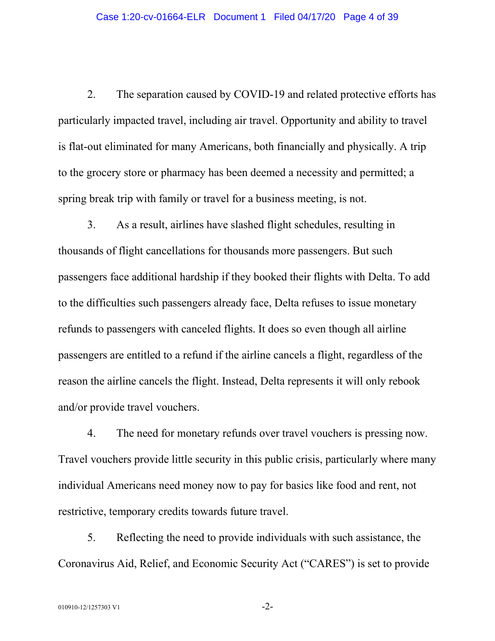2. The separation caused by COVID-19 and related protective efforts has particularly impacted travel, including air travel. Opportunity and ability to travel is flat-out eliminated for many Americans, both financially and physically. A trip to the grocery store or pharmacy has been deemed a necessity and permitted; a spring break trip with family or travel for a business meeting, is not.

3. As a result, airlines have slashed flight schedules, resulting in thousands of flight cancellations for thousands more passengers. But such passengers face additional hardship if they booked their flights with Delta. To add to the difficulties such passengers already face, Delta refuses to issue monetary refunds to passengers with canceled flights. It does so even though all airline passengers are entitled to a refund if the airline cancels a flight, regardless of the reason the airline cancels the flight. Instead, Delta represents it will only rebook and/or provide travel vouchers.

4. The need for monetary refunds over travel vouchers is pressing now. Travel vouchers provide little security in this public crisis, particularly where many individual Americans need money now to pay for basics like food and rent, not restrictive, temporary credits towards future travel.

5. Reflecting the need to provide individuals with such assistance, the Coronavirus Aid, Relief, and Economic Security Act ("CARES") is set to provide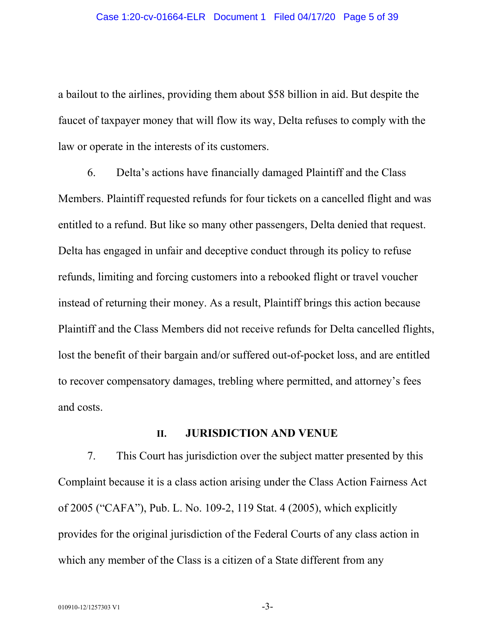a bailout to the airlines, providing them about \$58 billion in aid. But despite the faucet of taxpayer money that will flow its way, Delta refuses to comply with the law or operate in the interests of its customers.

6. Delta's actions have financially damaged Plaintiff and the Class Members. Plaintiff requested refunds for four tickets on a cancelled flight and was entitled to a refund. But like so many other passengers, Delta denied that request. Delta has engaged in unfair and deceptive conduct through its policy to refuse refunds, limiting and forcing customers into a rebooked flight or travel voucher instead of returning their money. As a result, Plaintiff brings this action because Plaintiff and the Class Members did not receive refunds for Delta cancelled flights, lost the benefit of their bargain and/or suffered out-of-pocket loss, and are entitled to recover compensatory damages, trebling where permitted, and attorney's fees and costs.

#### **II. JURISDICTION AND VENUE**

7. This Court has jurisdiction over the subject matter presented by this Complaint because it is a class action arising under the Class Action Fairness Act of 2005 ("CAFA"), Pub. L. No. 109-2, 119 Stat. 4 (2005), which explicitly provides for the original jurisdiction of the Federal Courts of any class action in which any member of the Class is a citizen of a State different from any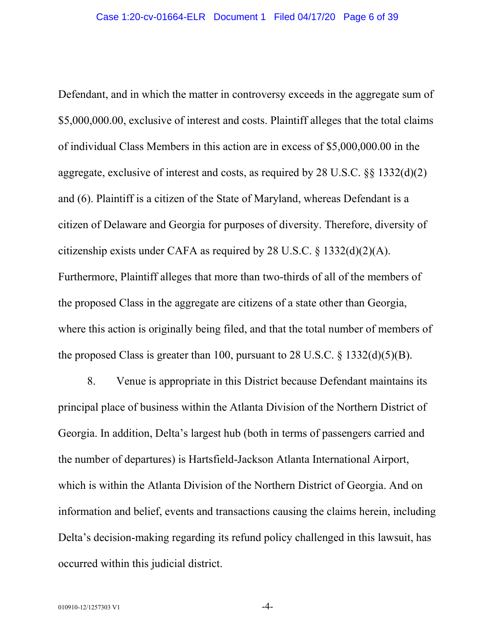Defendant, and in which the matter in controversy exceeds in the aggregate sum of \$5,000,000.00, exclusive of interest and costs. Plaintiff alleges that the total claims of individual Class Members in this action are in excess of \$5,000,000.00 in the aggregate, exclusive of interest and costs, as required by 28 U.S.C. §§ 1332(d)(2) and (6). Plaintiff is a citizen of the State of Maryland, whereas Defendant is a citizen of Delaware and Georgia for purposes of diversity. Therefore, diversity of citizenship exists under CAFA as required by 28 U.S.C.  $\S$  1332(d)(2)(A). Furthermore, Plaintiff alleges that more than two-thirds of all of the members of the proposed Class in the aggregate are citizens of a state other than Georgia, where this action is originally being filed, and that the total number of members of the proposed Class is greater than 100, pursuant to 28 U.S.C.  $\S$  1332(d)(5)(B).

8. Venue is appropriate in this District because Defendant maintains its principal place of business within the Atlanta Division of the Northern District of Georgia. In addition, Delta's largest hub (both in terms of passengers carried and the number of departures) is Hartsfield-Jackson Atlanta International Airport, which is within the Atlanta Division of the Northern District of Georgia. And on information and belief, events and transactions causing the claims herein, including Delta's decision-making regarding its refund policy challenged in this lawsuit, has occurred within this judicial district.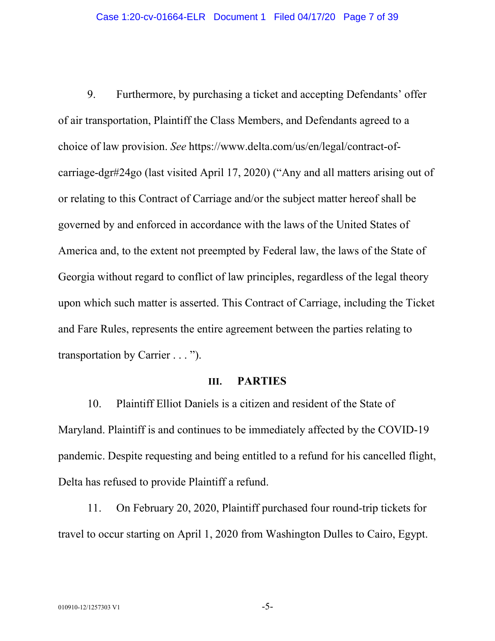9. Furthermore, by purchasing a ticket and accepting Defendants' offer of air transportation, Plaintiff the Class Members, and Defendants agreed to a choice of law provision. *See* https://www.delta.com/us/en/legal/contract-ofcarriage-dgr#24go (last visited April 17, 2020) ("Any and all matters arising out of or relating to this Contract of Carriage and/or the subject matter hereof shall be governed by and enforced in accordance with the laws of the United States of America and, to the extent not preempted by Federal law, the laws of the State of Georgia without regard to conflict of law principles, regardless of the legal theory upon which such matter is asserted. This Contract of Carriage, including the Ticket and Fare Rules, represents the entire agreement between the parties relating to transportation by Carrier . . . ").

### **III. PARTIES**

10. Plaintiff Elliot Daniels is a citizen and resident of the State of Maryland. Plaintiff is and continues to be immediately affected by the COVID-19 pandemic. Despite requesting and being entitled to a refund for his cancelled flight, Delta has refused to provide Plaintiff a refund.

11. On February 20, 2020, Plaintiff purchased four round-trip tickets for travel to occur starting on April 1, 2020 from Washington Dulles to Cairo, Egypt.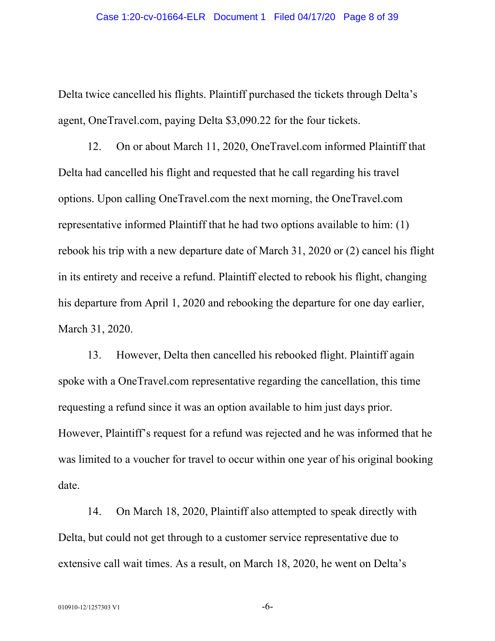Delta twice cancelled his flights. Plaintiff purchased the tickets through Delta's agent, OneTravel.com, paying Delta \$3,090.22 for the four tickets.

12. On or about March 11, 2020, OneTravel.com informed Plaintiff that Delta had cancelled his flight and requested that he call regarding his travel options. Upon calling OneTravel.com the next morning, the OneTravel.com representative informed Plaintiff that he had two options available to him: (1) rebook his trip with a new departure date of March 31, 2020 or (2) cancel his flight in its entirety and receive a refund. Plaintiff elected to rebook his flight, changing his departure from April 1, 2020 and rebooking the departure for one day earlier, March 31, 2020.

13. However, Delta then cancelled his rebooked flight. Plaintiff again spoke with a OneTravel.com representative regarding the cancellation, this time requesting a refund since it was an option available to him just days prior. However, Plaintiff's request for a refund was rejected and he was informed that he was limited to a voucher for travel to occur within one year of his original booking date.

14. On March 18, 2020, Plaintiff also attempted to speak directly with Delta, but could not get through to a customer service representative due to extensive call wait times. As a result, on March 18, 2020, he went on Delta's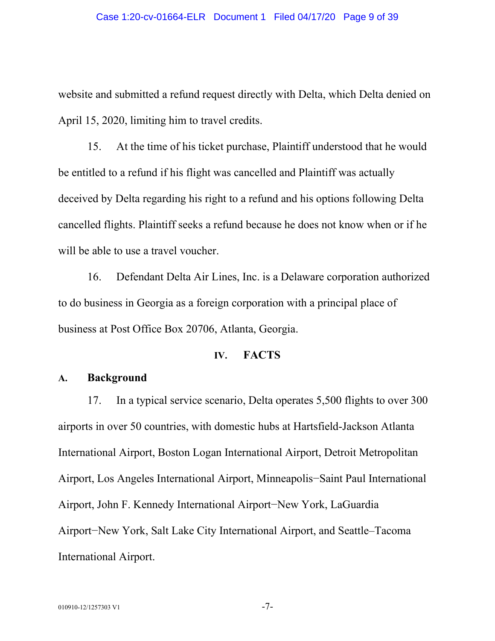website and submitted a refund request directly with Delta, which Delta denied on April 15, 2020, limiting him to travel credits.

15. At the time of his ticket purchase, Plaintiff understood that he would be entitled to a refund if his flight was cancelled and Plaintiff was actually deceived by Delta regarding his right to a refund and his options following Delta cancelled flights. Plaintiff seeks a refund because he does not know when or if he will be able to use a travel voucher.

16. Defendant Delta Air Lines, Inc. is a Delaware corporation authorized to do business in Georgia as a foreign corporation with a principal place of business at Post Office Box 20706, Atlanta, Georgia.

#### **IV. FACTS**

## **A. Background**

17. In a typical service scenario, Delta operates 5,500 flights to over 300 airports in over 50 countries, with domestic hubs at Hartsfield-Jackson Atlanta International Airport, Boston Logan International Airport, Detroit Metropolitan Airport, Los Angeles International Airport, Minneapolis−Saint Paul International Airport, John F. Kennedy International Airport−New York, LaGuardia Airport−New York, Salt Lake City International Airport, and Seattle–Tacoma International Airport.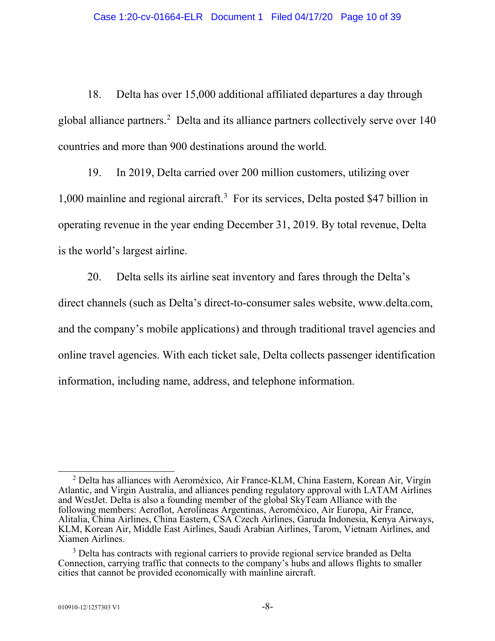18. Delta has over 15,000 additional affiliated departures a day through global alliance partners.<sup>[2](#page-9-0)</sup> Delta and its alliance partners collectively serve over 140 countries and more than 900 destinations around the world.

19. In 2019, Delta carried over 200 million customers, utilizing over 1,000 mainline and regional aircraft. [3](#page-9-1) For its services, Delta posted \$47 billion in operating revenue in the year ending December 31, 2019. By total revenue, Delta is the world's largest airline.

20. Delta sells its airline seat inventory and fares through the Delta's direct channels (such as Delta's direct-to-consumer sales website, www.delta.com, and the company's mobile applications) and through traditional travel agencies and online travel agencies. With each ticket sale, Delta collects passenger identification information, including name, address, and telephone information.

<span id="page-9-0"></span> $2$  Delta has alliances with Aeroméxico, Air France-KLM, China Eastern, Korean Air, Virgin Atlantic, and Virgin Australia, and alliances pending regulatory approval with LATAM Airlines and WestJet. Delta is also a founding member of the global SkyTeam Alliance with the following members: Aeroflot, Aerolíneas Argentinas, Aeroméxico, Air Europa, Air France, Alitalia, China Airlines, China Eastern, CSA Czech Airlines, Garuda Indonesia, Kenya Airways, KLM, Korean Air, Middle East Airlines, Saudi Arabian Airlines, Tarom, Vietnam Airlines, and Xiamen Airlines.

<span id="page-9-1"></span><sup>&</sup>lt;sup>3</sup> Delta has contracts with regional carriers to provide regional service branded as Delta Connection, carrying traffic that connects to the company's hubs and allows flights to smaller cities that cannot be provided economically with mainline aircraft.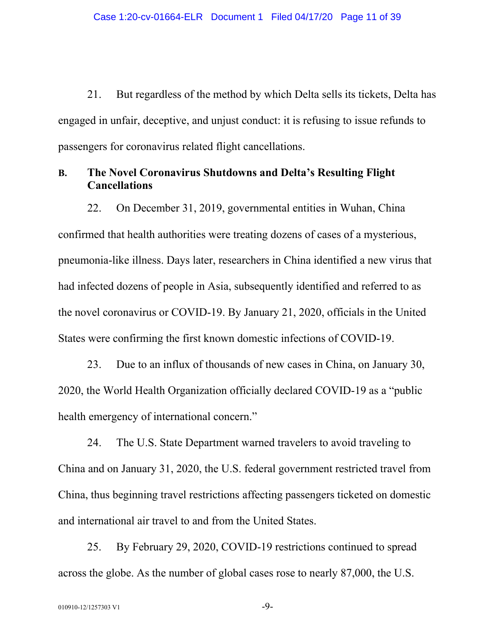21. But regardless of the method by which Delta sells its tickets, Delta has engaged in unfair, deceptive, and unjust conduct: it is refusing to issue refunds to passengers for coronavirus related flight cancellations.

## **B. The Novel Coronavirus Shutdowns and Delta's Resulting Flight Cancellations**

22. On December 31, 2019, governmental entities in Wuhan, China confirmed that health authorities were treating dozens of cases of a mysterious, pneumonia-like illness. Days later, researchers in China identified a new virus that had infected dozens of people in Asia, subsequently identified and referred to as the novel coronavirus or COVID-19. By January 21, 2020, officials in the United States were confirming the first known domestic infections of COVID-19.

23. Due to an influx of thousands of new cases in China, on January 30, 2020, the World Health Organization officially declared COVID-19 as a "public health emergency of international concern."

24. The U.S. State Department warned travelers to avoid traveling to China and on January 31, 2020, the U.S. federal government restricted travel from China, thus beginning travel restrictions affecting passengers ticketed on domestic and international air travel to and from the United States.

25. By February 29, 2020, COVID-19 restrictions continued to spread across the globe. As the number of global cases rose to nearly 87,000, the U.S.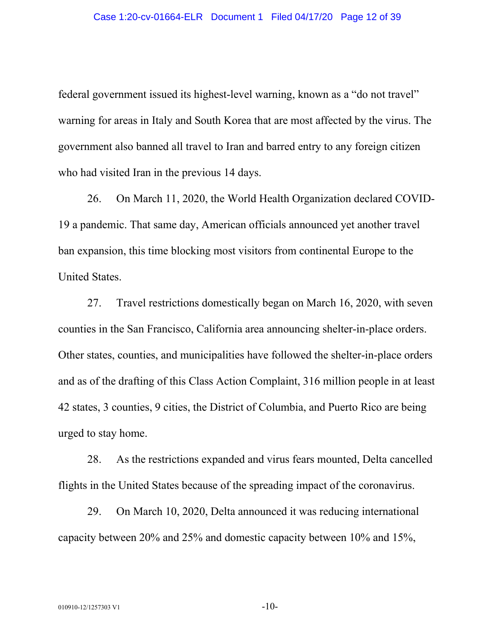federal government issued its highest-level warning, known as a "do not travel" warning for areas in Italy and South Korea that are most affected by the virus. The government also banned all travel to Iran and barred entry to any foreign citizen who had visited Iran in the previous 14 days.

26. On March 11, 2020, the World Health Organization declared COVID-19 a pandemic. That same day, American officials announced yet another travel ban expansion, this time blocking most visitors from continental Europe to the United States.

27. Travel restrictions domestically began on March 16, 2020, with seven counties in the San Francisco, California area announcing shelter-in-place orders. Other states, counties, and municipalities have followed the shelter-in-place orders and as of the drafting of this Class Action Complaint, 316 million people in at least 42 states, 3 counties, 9 cities, the District of Columbia, and Puerto Rico are being urged to stay home.

28. As the restrictions expanded and virus fears mounted, Delta cancelled flights in the United States because of the spreading impact of the coronavirus.

29. On March 10, 2020, Delta announced it was reducing international capacity between 20% and 25% and domestic capacity between 10% and 15%,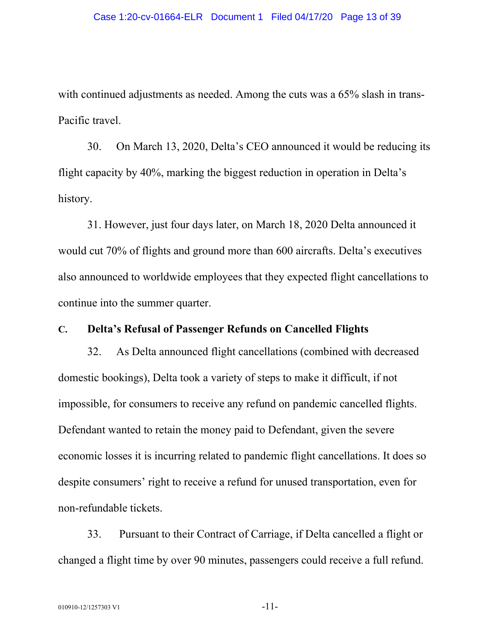with continued adjustments as needed. Among the cuts was a 65% slash in trans-Pacific travel.

30. On March 13, 2020, Delta's CEO announced it would be reducing its flight capacity by 40%, marking the biggest reduction in operation in Delta's history.

31. However, just four days later, on March 18, 2020 Delta announced it would cut 70% of flights and ground more than 600 aircrafts. Delta's executives also announced to worldwide employees that they expected flight cancellations to continue into the summer quarter.

## **C. Delta's Refusal of Passenger Refunds on Cancelled Flights**

32. As Delta announced flight cancellations (combined with decreased domestic bookings), Delta took a variety of steps to make it difficult, if not impossible, for consumers to receive any refund on pandemic cancelled flights. Defendant wanted to retain the money paid to Defendant, given the severe economic losses it is incurring related to pandemic flight cancellations. It does so despite consumers' right to receive a refund for unused transportation, even for non-refundable tickets.

33. Pursuant to their Contract of Carriage, if Delta cancelled a flight or changed a flight time by over 90 minutes, passengers could receive a full refund.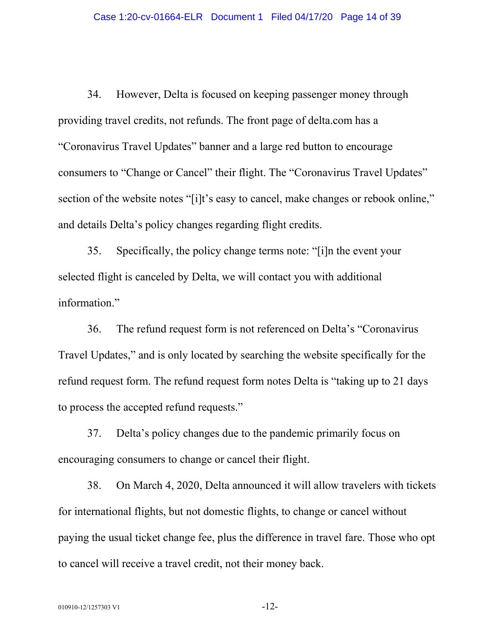34. However, Delta is focused on keeping passenger money through providing travel credits, not refunds. The front page of delta.com has a "Coronavirus Travel Updates" banner and a large red button to encourage consumers to "Change or Cancel" their flight. The "Coronavirus Travel Updates" section of the website notes "[i]t's easy to cancel, make changes or rebook online," and details Delta's policy changes regarding flight credits.

35. Specifically, the policy change terms note: "[i]n the event your selected flight is canceled by Delta, we will contact you with additional information."

36. The refund request form is not referenced on Delta's "Coronavirus Travel Updates," and is only located by searching the website specifically for the refund request form. The refund request form notes Delta is "taking up to 21 days to process the accepted refund requests."

37. Delta's policy changes due to the pandemic primarily focus on encouraging consumers to change or cancel their flight.

38. On March 4, 2020, Delta announced it will allow travelers with tickets for international flights, but not domestic flights, to change or cancel without paying the usual ticket change fee, plus the difference in travel fare. Those who opt to cancel will receive a travel credit, not their money back.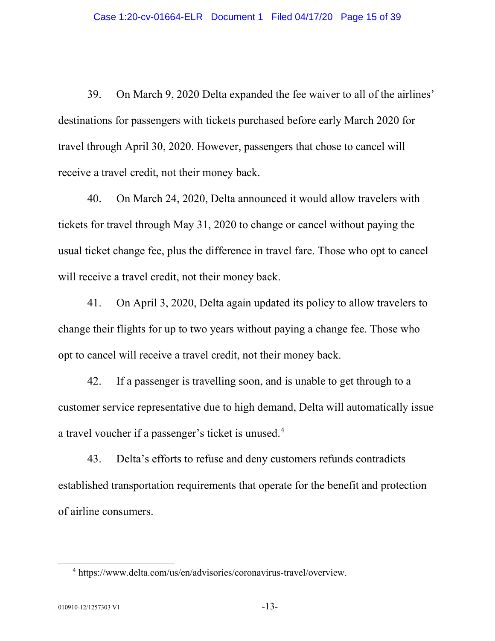39. On March 9, 2020 Delta expanded the fee waiver to all of the airlines' destinations for passengers with tickets purchased before early March 2020 for travel through April 30, 2020. However, passengers that chose to cancel will receive a travel credit, not their money back.

40. On March 24, 2020, Delta announced it would allow travelers with tickets for travel through May 31, 2020 to change or cancel without paying the usual ticket change fee, plus the difference in travel fare. Those who opt to cancel will receive a travel credit, not their money back.

41. On April 3, 2020, Delta again updated its policy to allow travelers to change their flights for up to two years without paying a change fee. Those who opt to cancel will receive a travel credit, not their money back.

42. If a passenger is travelling soon, and is unable to get through to a customer service representative due to high demand, Delta will automatically issue a travel voucher if a passenger's ticket is unused.[4](#page-14-0)

43. Delta's efforts to refuse and deny customers refunds contradicts established transportation requirements that operate for the benefit and protection of airline consumers.

<span id="page-14-0"></span><sup>4</sup> https://www.delta.com/us/en/advisories/coronavirus-travel/overview.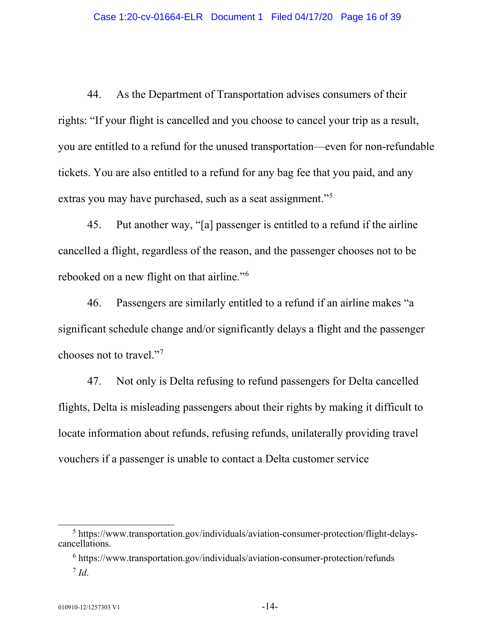44. As the Department of Transportation advises consumers of their rights: "If your flight is cancelled and you choose to cancel your trip as a result, you are entitled to a refund for the unused transportation—even for non-refundable tickets. You are also entitled to a refund for any bag fee that you paid, and any extras you may have purchased, such as a seat assignment."<sup>[5](#page-15-0)</sup>

45. Put another way, "[a] passenger is entitled to a refund if the airline cancelled a flight, regardless of the reason, and the passenger chooses not to be rebooked on a new flight on that airline."[6](#page-15-1)

46. Passengers are similarly entitled to a refund if an airline makes "a significant schedule change and/or significantly delays a flight and the passenger chooses not to travel."[7](#page-15-2)

47. Not only is Delta refusing to refund passengers for Delta cancelled flights, Delta is misleading passengers about their rights by making it difficult to locate information about refunds, refusing refunds, unilaterally providing travel vouchers if a passenger is unable to contact a Delta customer service

<span id="page-15-2"></span><span id="page-15-1"></span><span id="page-15-0"></span><sup>5</sup> https://www.transportation.gov/individuals/aviation-consumer-protection/flight-delayscancellations.

 $6$  https://www.transportation.gov/individuals/aviation-consumer-protection/refunds  $^7$  *Id.*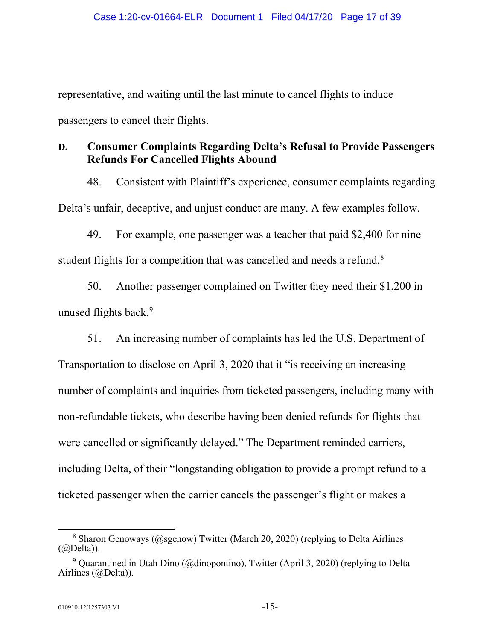representative, and waiting until the last minute to cancel flights to induce passengers to cancel their flights.

## **D. Consumer Complaints Regarding Delta's Refusal to Provide Passengers Refunds For Cancelled Flights Abound**

48. Consistent with Plaintiff's experience, consumer complaints regarding Delta's unfair, deceptive, and unjust conduct are many. A few examples follow.

49. For example, one passenger was a teacher that paid \$2,400 for nine student flights for a competition that was cancelled and needs a refund.<sup>[8](#page-16-0)</sup>

50. Another passenger complained on Twitter they need their \$1,200 in unused flights back.<sup>[9](#page-16-1)</sup>

51. An increasing number of complaints has led the U.S. Department of Transportation to disclose on April 3, 2020 that it "is receiving an increasing number of complaints and inquiries from ticketed passengers, including many with non-refundable tickets, who describe having been denied refunds for flights that were cancelled or significantly delayed." The Department reminded carriers, including Delta, of their "longstanding obligation to provide a prompt refund to a ticketed passenger when the carrier cancels the passenger's flight or makes a

<span id="page-16-0"></span><sup>&</sup>lt;sup>8</sup> Sharon Genoways (@sgenow) Twitter (March 20, 2020) (replying to Delta Airlines  $(a)$ Delta)).

<span id="page-16-1"></span><sup>&</sup>lt;sup>9</sup> Quarantined in Utah Dino (@dinopontino), Twitter (April 3, 2020) (replying to Delta Airlines (@Delta)).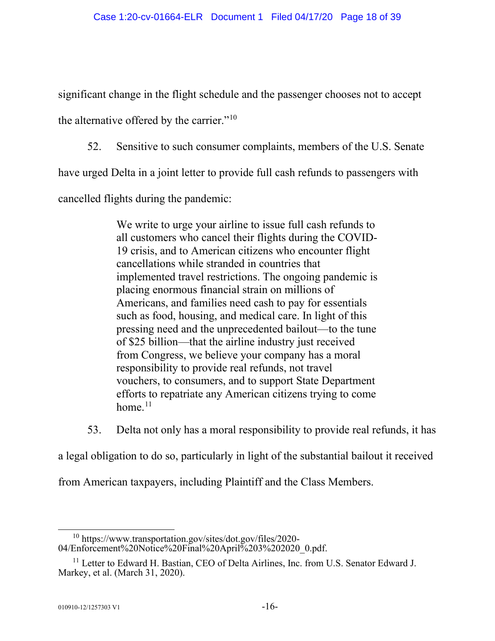significant change in the flight schedule and the passenger chooses not to accept

the alternative offered by the carrier."<sup>[10](#page-17-0)</sup>

52. Sensitive to such consumer complaints, members of the U.S. Senate

have urged Delta in a joint letter to provide full cash refunds to passengers with

cancelled flights during the pandemic:

We write to urge your airline to issue full cash refunds to all customers who cancel their flights during the COVID-19 crisis, and to American citizens who encounter flight cancellations while stranded in countries that implemented travel restrictions. The ongoing pandemic is placing enormous financial strain on millions of Americans, and families need cash to pay for essentials such as food, housing, and medical care. In light of this pressing need and the unprecedented bailout—to the tune of \$25 billion—that the airline industry just received from Congress, we believe your company has a moral responsibility to provide real refunds, not travel vouchers, to consumers, and to support State Department efforts to repatriate any American citizens trying to come home. $11$ 

53. Delta not only has a moral responsibility to provide real refunds, it has

a legal obligation to do so, particularly in light of the substantial bailout it received

from American taxpayers, including Plaintiff and the Class Members.

<span id="page-17-0"></span><sup>10</sup> https://www.transportation.gov/sites/dot.gov/files/2020- 04/Enforcement%20Notice%20Final%20April%203%202020\_0.pdf.

<span id="page-17-1"></span><sup>&</sup>lt;sup>11</sup> Letter to Edward H. Bastian, CEO of Delta Airlines, Inc. from U.S. Senator Edward J. Markey, et al. (March 31, 2020).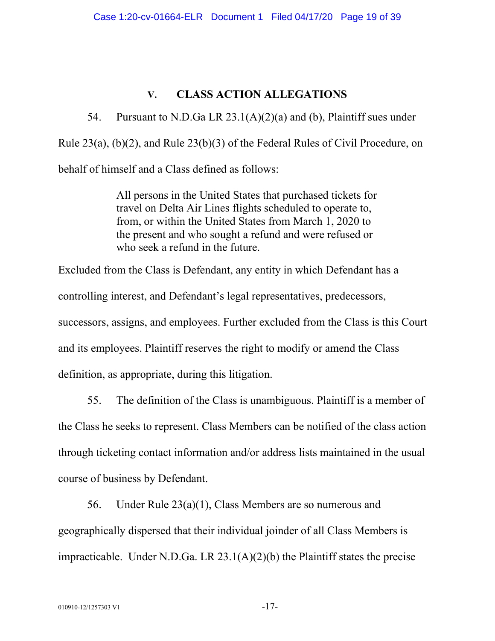## **V. CLASS ACTION ALLEGATIONS**

54. Pursuant to N.D.Ga LR  $23.1(A)(2)(a)$  and (b), Plaintiff sues under Rule 23(a), (b)(2), and Rule 23(b)(3) of the Federal Rules of Civil Procedure, on behalf of himself and a Class defined as follows:

> All persons in the United States that purchased tickets for travel on Delta Air Lines flights scheduled to operate to, from, or within the United States from March 1, 2020 to the present and who sought a refund and were refused or who seek a refund in the future.

Excluded from the Class is Defendant, any entity in which Defendant has a controlling interest, and Defendant's legal representatives, predecessors, successors, assigns, and employees. Further excluded from the Class is this Court and its employees. Plaintiff reserves the right to modify or amend the Class definition, as appropriate, during this litigation.

55. The definition of the Class is unambiguous. Plaintiff is a member of the Class he seeks to represent. Class Members can be notified of the class action through ticketing contact information and/or address lists maintained in the usual course of business by Defendant.

56. Under Rule 23(a)(1), Class Members are so numerous and geographically dispersed that their individual joinder of all Class Members is impracticable. Under N.D.Ga. LR 23.1(A)(2)(b) the Plaintiff states the precise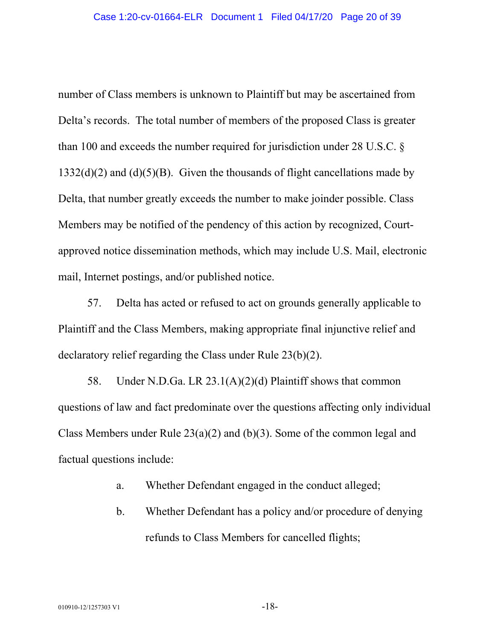number of Class members is unknown to Plaintiff but may be ascertained from Delta's records. The total number of members of the proposed Class is greater than 100 and exceeds the number required for jurisdiction under 28 U.S.C. §  $1332(d)(2)$  and  $(d)(5)(B)$ . Given the thousands of flight cancellations made by Delta, that number greatly exceeds the number to make joinder possible. Class Members may be notified of the pendency of this action by recognized, Courtapproved notice dissemination methods, which may include U.S. Mail, electronic mail, Internet postings, and/or published notice.

57. Delta has acted or refused to act on grounds generally applicable to Plaintiff and the Class Members, making appropriate final injunctive relief and declaratory relief regarding the Class under Rule 23(b)(2).

58. Under N.D.Ga. LR 23.1(A)(2)(d) Plaintiff shows that common questions of law and fact predominate over the questions affecting only individual Class Members under Rule 23(a)(2) and (b)(3). Some of the common legal and factual questions include:

- a. Whether Defendant engaged in the conduct alleged;
- b. Whether Defendant has a policy and/or procedure of denying refunds to Class Members for cancelled flights;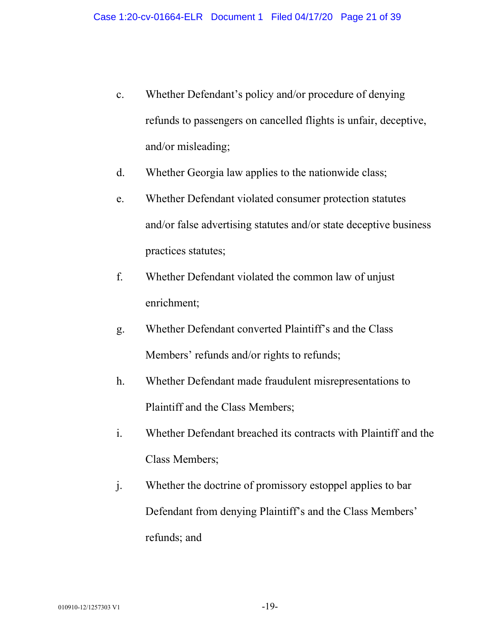- c. Whether Defendant's policy and/or procedure of denying refunds to passengers on cancelled flights is unfair, deceptive, and/or misleading;
- d. Whether Georgia law applies to the nationwide class;
- e. Whether Defendant violated consumer protection statutes and/or false advertising statutes and/or state deceptive business practices statutes;
- f. Whether Defendant violated the common law of unjust enrichment;
- g. Whether Defendant converted Plaintiff's and the Class Members' refunds and/or rights to refunds;
- h. Whether Defendant made fraudulent misrepresentations to Plaintiff and the Class Members;
- i. Whether Defendant breached its contracts with Plaintiff and the Class Members;
- j. Whether the doctrine of promissory estoppel applies to bar Defendant from denying Plaintiff's and the Class Members' refunds; and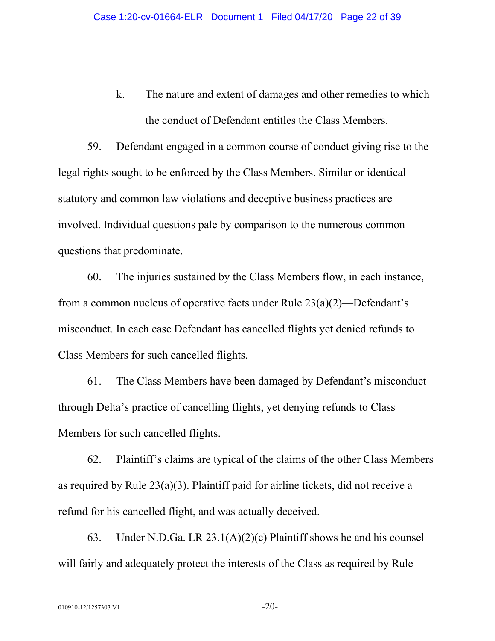k. The nature and extent of damages and other remedies to which the conduct of Defendant entitles the Class Members.

59. Defendant engaged in a common course of conduct giving rise to the legal rights sought to be enforced by the Class Members. Similar or identical statutory and common law violations and deceptive business practices are involved. Individual questions pale by comparison to the numerous common questions that predominate.

60. The injuries sustained by the Class Members flow, in each instance, from a common nucleus of operative facts under Rule 23(a)(2)—Defendant's misconduct. In each case Defendant has cancelled flights yet denied refunds to Class Members for such cancelled flights.

61. The Class Members have been damaged by Defendant's misconduct through Delta's practice of cancelling flights, yet denying refunds to Class Members for such cancelled flights.

62. Plaintiff's claims are typical of the claims of the other Class Members as required by Rule 23(a)(3). Plaintiff paid for airline tickets, did not receive a refund for his cancelled flight, and was actually deceived.

63. Under N.D.Ga. LR 23.1(A)(2)(c) Plaintiff shows he and his counsel will fairly and adequately protect the interests of the Class as required by Rule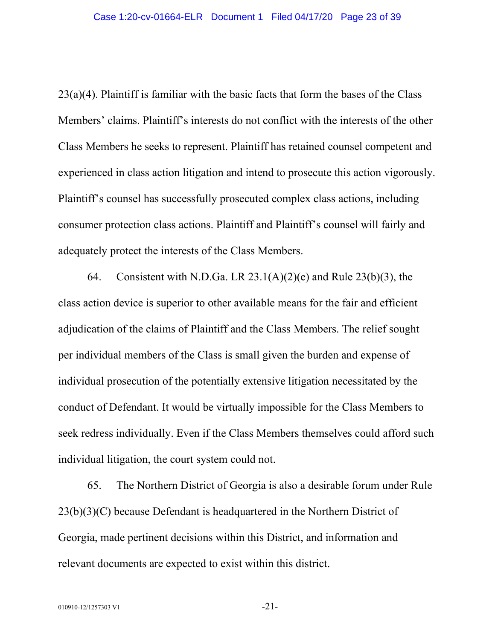23(a)(4). Plaintiff is familiar with the basic facts that form the bases of the Class Members' claims. Plaintiff's interests do not conflict with the interests of the other Class Members he seeks to represent. Plaintiff has retained counsel competent and experienced in class action litigation and intend to prosecute this action vigorously. Plaintiff's counsel has successfully prosecuted complex class actions, including consumer protection class actions. Plaintiff and Plaintiff's counsel will fairly and adequately protect the interests of the Class Members.

64. Consistent with N.D.Ga. LR  $23.1(A)(2)(e)$  and Rule  $23(b)(3)$ , the class action device is superior to other available means for the fair and efficient adjudication of the claims of Plaintiff and the Class Members. The relief sought per individual members of the Class is small given the burden and expense of individual prosecution of the potentially extensive litigation necessitated by the conduct of Defendant. It would be virtually impossible for the Class Members to seek redress individually. Even if the Class Members themselves could afford such individual litigation, the court system could not.

65. The Northern District of Georgia is also a desirable forum under Rule 23(b)(3)(C) because Defendant is headquartered in the Northern District of Georgia, made pertinent decisions within this District, and information and relevant documents are expected to exist within this district.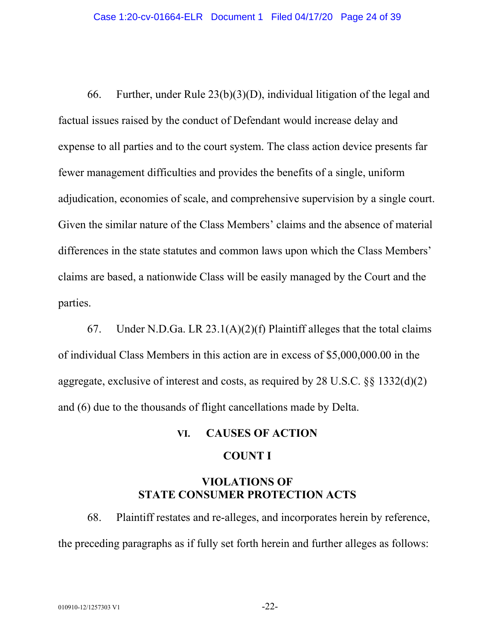66. Further, under Rule 23(b)(3)(D), individual litigation of the legal and factual issues raised by the conduct of Defendant would increase delay and expense to all parties and to the court system. The class action device presents far fewer management difficulties and provides the benefits of a single, uniform adjudication, economies of scale, and comprehensive supervision by a single court. Given the similar nature of the Class Members' claims and the absence of material differences in the state statutes and common laws upon which the Class Members' claims are based, a nationwide Class will be easily managed by the Court and the parties.

67. Under N.D.Ga. LR  $23.1(A)(2)(f)$  Plaintiff alleges that the total claims of individual Class Members in this action are in excess of \$5,000,000.00 in the aggregate, exclusive of interest and costs, as required by 28 U.S.C. §§ 1332(d)(2) and (6) due to the thousands of flight cancellations made by Delta.

#### **VI. CAUSES OF ACTION**

#### **COUNT I**

## **VIOLATIONS OF STATE CONSUMER PROTECTION ACTS**

68. Plaintiff restates and re-alleges, and incorporates herein by reference, the preceding paragraphs as if fully set forth herein and further alleges as follows: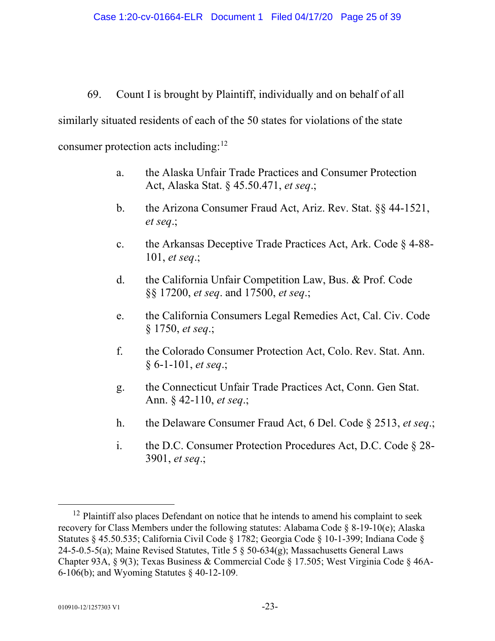## 69. Count I is brought by Plaintiff, individually and on behalf of all

similarly situated residents of each of the 50 states for violations of the state

consumer protection acts including: $12$ 

- a. the Alaska Unfair Trade Practices and Consumer Protection Act, Alaska Stat. § 45.50.471, *et seq*.;
- b. the Arizona Consumer Fraud Act, Ariz. Rev. Stat. §§ 44-1521, *et seq*.;
- c. the Arkansas Deceptive Trade Practices Act, Ark. Code § 4-88- 101, *et seq*.;
- d. the California Unfair Competition Law, Bus. & Prof. Code §§ 17200, *et seq*. and 17500, *et seq*.;
- e. the California Consumers Legal Remedies Act, Cal. Civ. Code § 1750, *et seq*.;
- f. the Colorado Consumer Protection Act, Colo. Rev. Stat. Ann. § 6-1-101, *et seq*.;
- g. the Connecticut Unfair Trade Practices Act, Conn. Gen Stat. Ann. § 42-110, *et seq*.;
- h. the Delaware Consumer Fraud Act, 6 Del. Code § 2513, *et seq*.;
- i. the D.C. Consumer Protection Procedures Act, D.C. Code § 28- 3901, *et seq*.;

<span id="page-24-0"></span><sup>&</sup>lt;sup>12</sup> Plaintiff also places Defendant on notice that he intends to amend his complaint to seek recovery for Class Members under the following statutes: Alabama Code § 8-19-10(e); Alaska Statutes § 45.50.535; California Civil Code § 1782; Georgia Code § 10-1-399; Indiana Code § 24-5-0.5-5(a); Maine Revised Statutes, Title 5 § 50-634(g); Massachusetts General Laws Chapter 93A, § 9(3); Texas Business & Commercial Code § 17.505; West Virginia Code § 46A-6-106(b); and Wyoming Statutes § 40-12-109.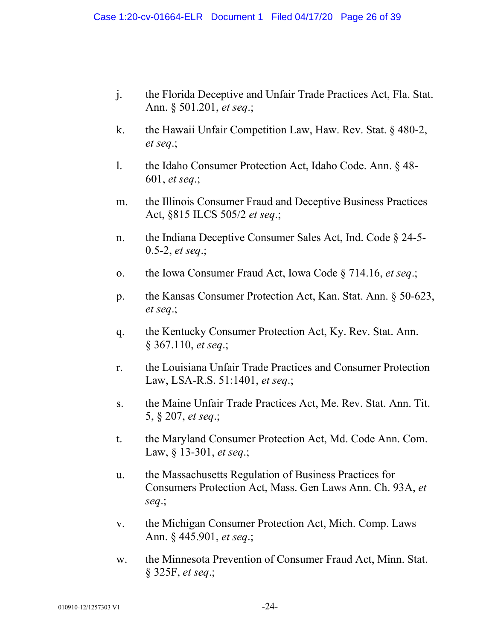- j. the Florida Deceptive and Unfair Trade Practices Act, Fla. Stat. Ann. § 501.201, *et seq*.;
- k. the Hawaii Unfair Competition Law, Haw. Rev. Stat. § 480-2, *et seq*.;
- l. the Idaho Consumer Protection Act, Idaho Code. Ann. § 48- 601, *et seq*.;
- m. the Illinois Consumer Fraud and Deceptive Business Practices Act, §815 ILCS 505/2 *et seq*.;
- n. the Indiana Deceptive Consumer Sales Act, Ind. Code § 24-5- 0.5-2, *et seq*.;
- o. the Iowa Consumer Fraud Act, Iowa Code § 714.16, *et seq*.;
- p. the Kansas Consumer Protection Act, Kan. Stat. Ann. § 50-623, *et seq*.;
- q. the Kentucky Consumer Protection Act, Ky. Rev. Stat. Ann. § 367.110, *et seq*.;
- r. the Louisiana Unfair Trade Practices and Consumer Protection Law, LSA-R.S. 51:1401, *et seq*.;
- s. the Maine Unfair Trade Practices Act, Me. Rev. Stat. Ann. Tit. 5, § 207, *et seq*.;
- t. the Maryland Consumer Protection Act, Md. Code Ann. Com. Law, § 13-301, *et seq*.;
- u. the Massachusetts Regulation of Business Practices for Consumers Protection Act, Mass. Gen Laws Ann. Ch. 93A, *et seq*.;
- v. the Michigan Consumer Protection Act, Mich. Comp. Laws Ann. § 445.901, *et seq*.;
- w. the Minnesota Prevention of Consumer Fraud Act, Minn. Stat. § 325F, *et seq*.;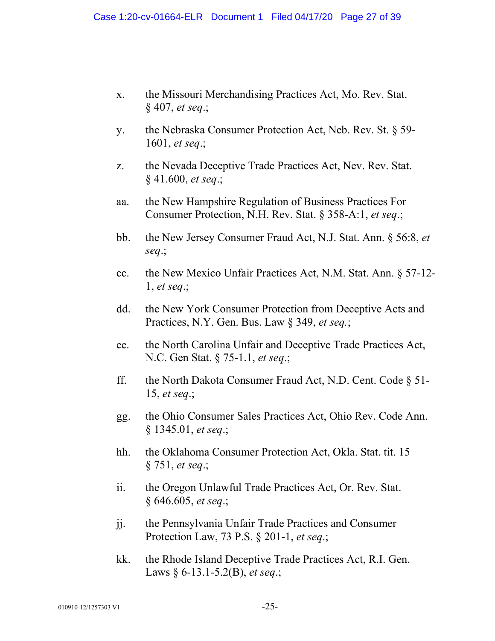- x. the Missouri Merchandising Practices Act, Mo. Rev. Stat. § 407, *et seq*.;
- y. the Nebraska Consumer Protection Act, Neb. Rev. St. § 59- 1601, *et seq*.;
- z. the Nevada Deceptive Trade Practices Act, Nev. Rev. Stat. § 41.600, *et seq*.;
- aa. the New Hampshire Regulation of Business Practices For Consumer Protection, N.H. Rev. Stat. § 358-A:1, *et seq*.;
- bb. the New Jersey Consumer Fraud Act, N.J. Stat. Ann. § 56:8, *et seq*.;
- cc. the New Mexico Unfair Practices Act, N.M. Stat. Ann. § 57-12- 1, *et seq*.;
- dd. the New York Consumer Protection from Deceptive Acts and Practices, N.Y. Gen. Bus. Law § 349, *et seq.*;
- ee. the North Carolina Unfair and Deceptive Trade Practices Act, N.C. Gen Stat. § 75-1.1, *et seq*.;
- ff. the North Dakota Consumer Fraud Act, N.D. Cent. Code § 51- 15, *et seq*.;
- gg. the Ohio Consumer Sales Practices Act, Ohio Rev. Code Ann. § 1345.01, *et seq*.;
- hh. the Oklahoma Consumer Protection Act, Okla. Stat. tit. 15 § 751, *et seq*.;
- ii. the Oregon Unlawful Trade Practices Act, Or. Rev. Stat. § 646.605, *et seq*.;
- jj. the Pennsylvania Unfair Trade Practices and Consumer Protection Law, 73 P.S. § 201-1, *et seq*.;
- kk. the Rhode Island Deceptive Trade Practices Act, R.I. Gen. Laws § 6-13.1-5.2(B), *et seq*.;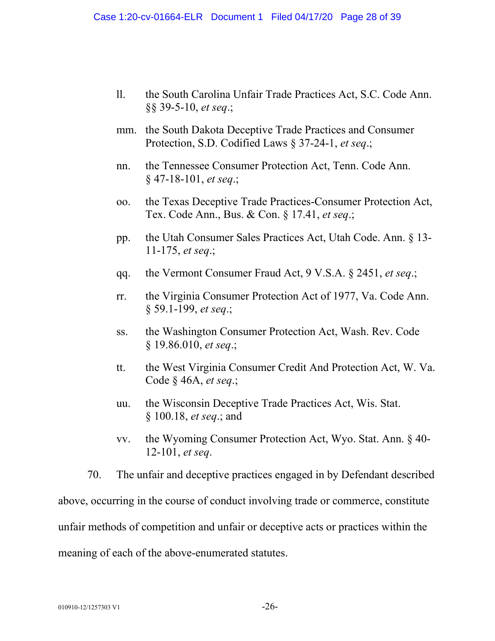- ll. the South Carolina Unfair Trade Practices Act, S.C. Code Ann. §§ 39-5-10, *et seq*.;
- mm. the South Dakota Deceptive Trade Practices and Consumer Protection, S.D. Codified Laws § 37-24-1, *et seq*.;
- nn. the Tennessee Consumer Protection Act, Tenn. Code Ann. § 47-18-101, *et seq*.;
- oo. the Texas Deceptive Trade Practices-Consumer Protection Act, Tex. Code Ann., Bus. & Con. § 17.41, *et seq*.;
- pp. the Utah Consumer Sales Practices Act, Utah Code. Ann. § 13- 11-175, *et seq*.;
- qq. the Vermont Consumer Fraud Act, 9 V.S.A. § 2451, *et seq*.;
- rr. the Virginia Consumer Protection Act of 1977, Va. Code Ann. § 59.1-199, *et seq*.;
- ss. the Washington Consumer Protection Act, Wash. Rev. Code § 19.86.010, *et seq*.;
- tt. the West Virginia Consumer Credit And Protection Act, W. Va. Code § 46A, *et seq*.;
- uu. the Wisconsin Deceptive Trade Practices Act, Wis. Stat. § 100.18, *et seq*.; and
- vv. the Wyoming Consumer Protection Act, Wyo. Stat. Ann. § 40- 12-101, *et seq*.

70. The unfair and deceptive practices engaged in by Defendant described above, occurring in the course of conduct involving trade or commerce, constitute unfair methods of competition and unfair or deceptive acts or practices within the meaning of each of the above-enumerated statutes.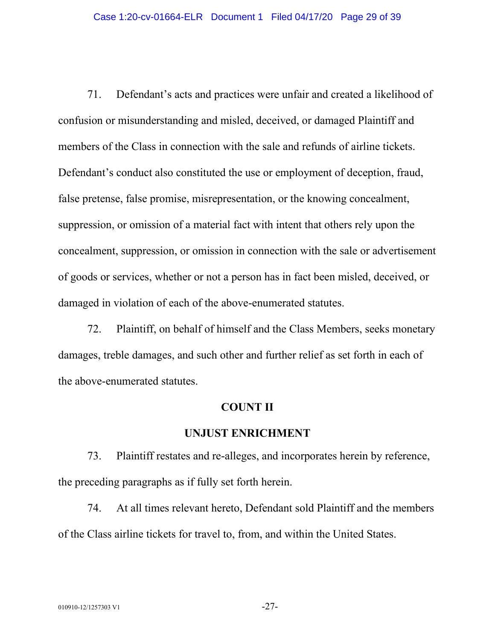71. Defendant's acts and practices were unfair and created a likelihood of confusion or misunderstanding and misled, deceived, or damaged Plaintiff and members of the Class in connection with the sale and refunds of airline tickets. Defendant's conduct also constituted the use or employment of deception, fraud, false pretense, false promise, misrepresentation, or the knowing concealment, suppression, or omission of a material fact with intent that others rely upon the concealment, suppression, or omission in connection with the sale or advertisement of goods or services, whether or not a person has in fact been misled, deceived, or damaged in violation of each of the above-enumerated statutes.

72. Plaintiff, on behalf of himself and the Class Members, seeks monetary damages, treble damages, and such other and further relief as set forth in each of the above-enumerated statutes.

#### **COUNT II**

#### **UNJUST ENRICHMENT**

73. Plaintiff restates and re-alleges, and incorporates herein by reference, the preceding paragraphs as if fully set forth herein.

74. At all times relevant hereto, Defendant sold Plaintiff and the members of the Class airline tickets for travel to, from, and within the United States.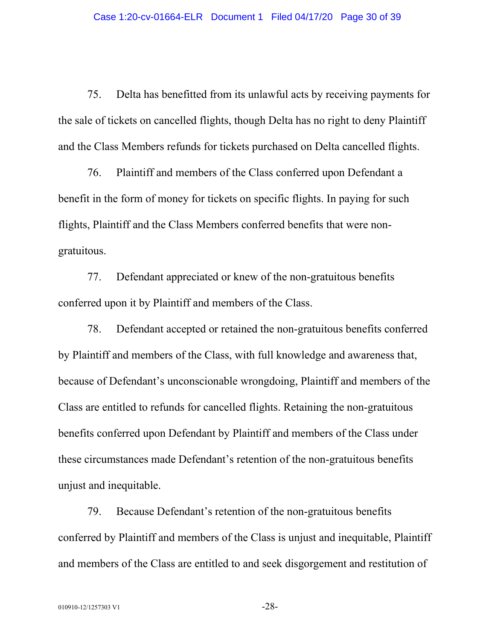75. Delta has benefitted from its unlawful acts by receiving payments for the sale of tickets on cancelled flights, though Delta has no right to deny Plaintiff and the Class Members refunds for tickets purchased on Delta cancelled flights.

76. Plaintiff and members of the Class conferred upon Defendant a benefit in the form of money for tickets on specific flights. In paying for such flights, Plaintiff and the Class Members conferred benefits that were nongratuitous.

77. Defendant appreciated or knew of the non-gratuitous benefits conferred upon it by Plaintiff and members of the Class.

78. Defendant accepted or retained the non-gratuitous benefits conferred by Plaintiff and members of the Class, with full knowledge and awareness that, because of Defendant's unconscionable wrongdoing, Plaintiff and members of the Class are entitled to refunds for cancelled flights. Retaining the non-gratuitous benefits conferred upon Defendant by Plaintiff and members of the Class under these circumstances made Defendant's retention of the non-gratuitous benefits unjust and inequitable.

79. Because Defendant's retention of the non-gratuitous benefits conferred by Plaintiff and members of the Class is unjust and inequitable, Plaintiff and members of the Class are entitled to and seek disgorgement and restitution of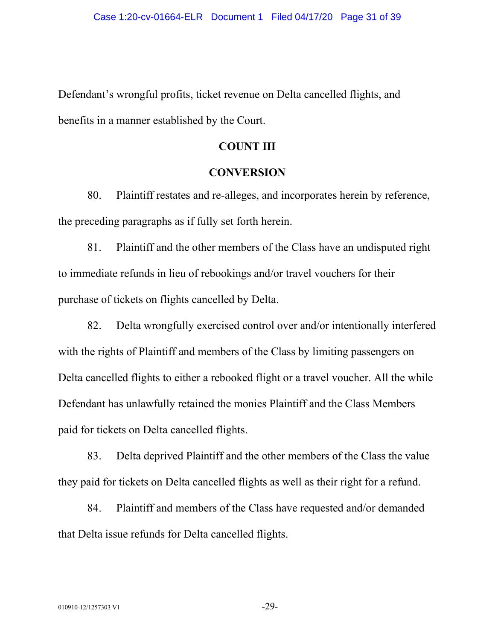Defendant's wrongful profits, ticket revenue on Delta cancelled flights, and benefits in a manner established by the Court.

#### **COUNT III**

#### **CONVERSION**

80. Plaintiff restates and re-alleges, and incorporates herein by reference, the preceding paragraphs as if fully set forth herein.

81. Plaintiff and the other members of the Class have an undisputed right to immediate refunds in lieu of rebookings and/or travel vouchers for their purchase of tickets on flights cancelled by Delta.

82. Delta wrongfully exercised control over and/or intentionally interfered with the rights of Plaintiff and members of the Class by limiting passengers on Delta cancelled flights to either a rebooked flight or a travel voucher. All the while Defendant has unlawfully retained the monies Plaintiff and the Class Members paid for tickets on Delta cancelled flights.

83. Delta deprived Plaintiff and the other members of the Class the value they paid for tickets on Delta cancelled flights as well as their right for a refund.

84. Plaintiff and members of the Class have requested and/or demanded that Delta issue refunds for Delta cancelled flights.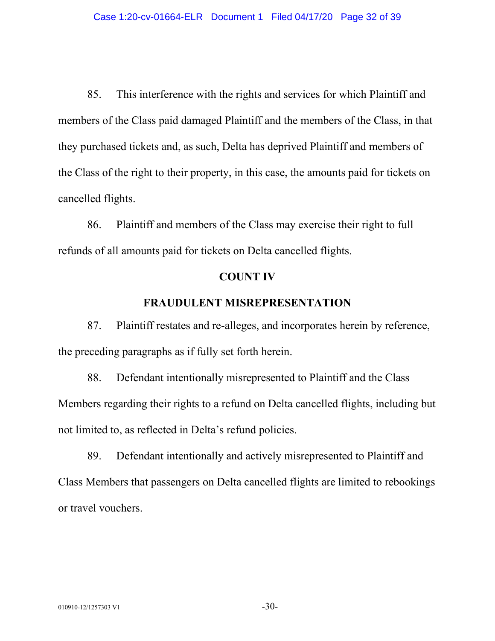85. This interference with the rights and services for which Plaintiff and members of the Class paid damaged Plaintiff and the members of the Class, in that they purchased tickets and, as such, Delta has deprived Plaintiff and members of the Class of the right to their property, in this case, the amounts paid for tickets on cancelled flights.

86. Plaintiff and members of the Class may exercise their right to full refunds of all amounts paid for tickets on Delta cancelled flights.

#### **COUNT IV**

#### **FRAUDULENT MISREPRESENTATION**

87. Plaintiff restates and re-alleges, and incorporates herein by reference, the preceding paragraphs as if fully set forth herein.

88. Defendant intentionally misrepresented to Plaintiff and the Class Members regarding their rights to a refund on Delta cancelled flights, including but not limited to, as reflected in Delta's refund policies.

89. Defendant intentionally and actively misrepresented to Plaintiff and Class Members that passengers on Delta cancelled flights are limited to rebookings or travel vouchers.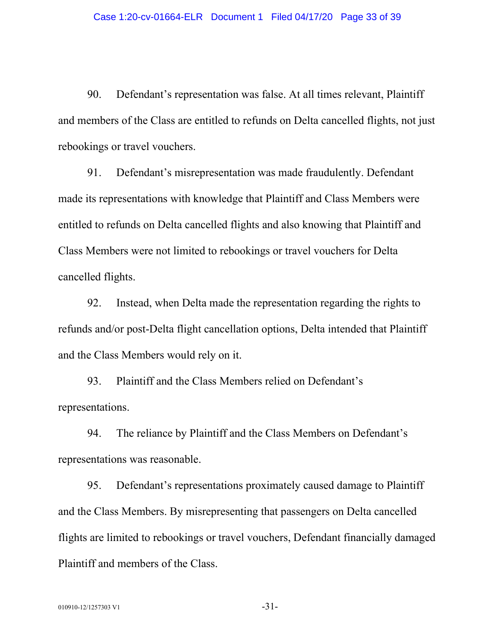90. Defendant's representation was false. At all times relevant, Plaintiff and members of the Class are entitled to refunds on Delta cancelled flights, not just rebookings or travel vouchers.

91. Defendant's misrepresentation was made fraudulently. Defendant made its representations with knowledge that Plaintiff and Class Members were entitled to refunds on Delta cancelled flights and also knowing that Plaintiff and Class Members were not limited to rebookings or travel vouchers for Delta cancelled flights.

92. Instead, when Delta made the representation regarding the rights to refunds and/or post-Delta flight cancellation options, Delta intended that Plaintiff and the Class Members would rely on it.

93. Plaintiff and the Class Members relied on Defendant's representations.

94. The reliance by Plaintiff and the Class Members on Defendant's representations was reasonable.

95. Defendant's representations proximately caused damage to Plaintiff and the Class Members. By misrepresenting that passengers on Delta cancelled flights are limited to rebookings or travel vouchers, Defendant financially damaged Plaintiff and members of the Class.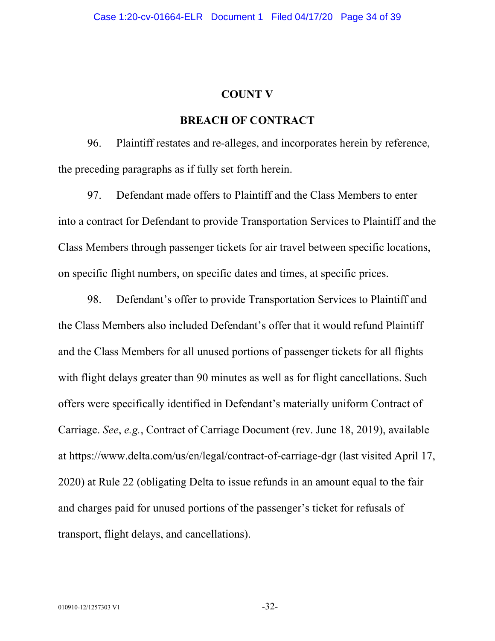#### **COUNT V**

### **BREACH OF CONTRACT**

96. Plaintiff restates and re-alleges, and incorporates herein by reference, the preceding paragraphs as if fully set forth herein.

97. Defendant made offers to Plaintiff and the Class Members to enter into a contract for Defendant to provide Transportation Services to Plaintiff and the Class Members through passenger tickets for air travel between specific locations, on specific flight numbers, on specific dates and times, at specific prices.

98. Defendant's offer to provide Transportation Services to Plaintiff and the Class Members also included Defendant's offer that it would refund Plaintiff and the Class Members for all unused portions of passenger tickets for all flights with flight delays greater than 90 minutes as well as for flight cancellations. Such offers were specifically identified in Defendant's materially uniform Contract of Carriage. *See*, *e.g.*, Contract of Carriage Document (rev. June 18, 2019), available at<https://www.delta.com/us/en/legal/contract-of-carriage-dgr> (last visited April 17, 2020) at Rule 22 (obligating Delta to issue refunds in an amount equal to the fair and charges paid for unused portions of the passenger's ticket for refusals of transport, flight delays, and cancellations).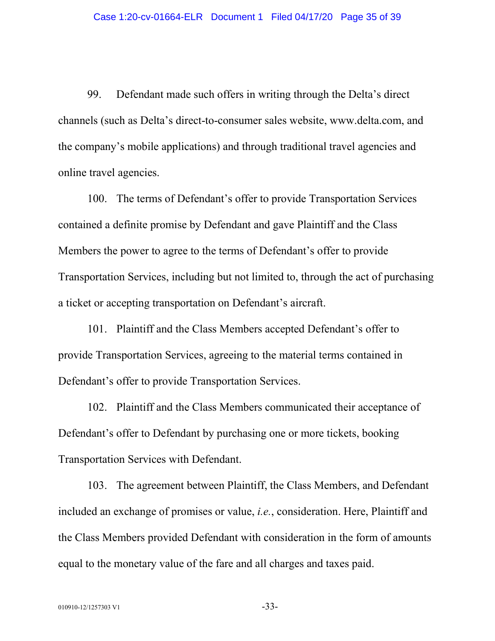99. Defendant made such offers in writing through the Delta's direct channels (such as Delta's direct-to-consumer sales website, www.delta.com, and the company's mobile applications) and through traditional travel agencies and online travel agencies.

100. The terms of Defendant's offer to provide Transportation Services contained a definite promise by Defendant and gave Plaintiff and the Class Members the power to agree to the terms of Defendant's offer to provide Transportation Services, including but not limited to, through the act of purchasing a ticket or accepting transportation on Defendant's aircraft.

101. Plaintiff and the Class Members accepted Defendant's offer to provide Transportation Services, agreeing to the material terms contained in Defendant's offer to provide Transportation Services.

102. Plaintiff and the Class Members communicated their acceptance of Defendant's offer to Defendant by purchasing one or more tickets, booking Transportation Services with Defendant.

103. The agreement between Plaintiff, the Class Members, and Defendant included an exchange of promises or value, *i.e.*, consideration. Here, Plaintiff and the Class Members provided Defendant with consideration in the form of amounts equal to the monetary value of the fare and all charges and taxes paid.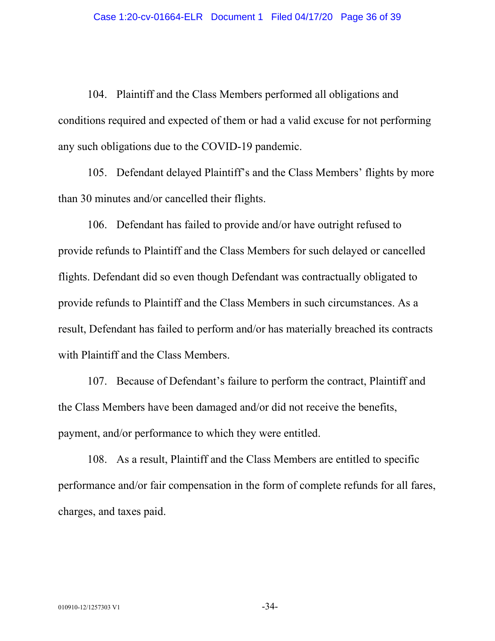104. Plaintiff and the Class Members performed all obligations and conditions required and expected of them or had a valid excuse for not performing any such obligations due to the COVID-19 pandemic.

105. Defendant delayed Plaintiff's and the Class Members' flights by more than 30 minutes and/or cancelled their flights.

106. Defendant has failed to provide and/or have outright refused to provide refunds to Plaintiff and the Class Members for such delayed or cancelled flights. Defendant did so even though Defendant was contractually obligated to provide refunds to Plaintiff and the Class Members in such circumstances. As a result, Defendant has failed to perform and/or has materially breached its contracts with Plaintiff and the Class Members.

107. Because of Defendant's failure to perform the contract, Plaintiff and the Class Members have been damaged and/or did not receive the benefits, payment, and/or performance to which they were entitled.

108. As a result, Plaintiff and the Class Members are entitled to specific performance and/or fair compensation in the form of complete refunds for all fares, charges, and taxes paid.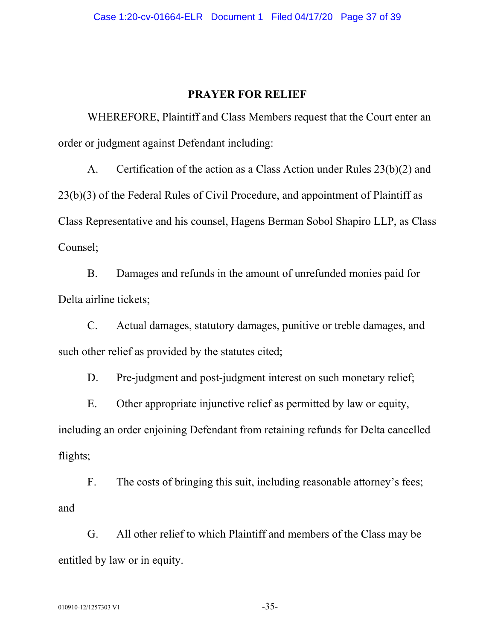### **PRAYER FOR RELIEF**

WHEREFORE, Plaintiff and Class Members request that the Court enter an order or judgment against Defendant including:

A. Certification of the action as a Class Action under Rules 23(b)(2) and 23(b)(3) of the Federal Rules of Civil Procedure, and appointment of Plaintiff as Class Representative and his counsel, Hagens Berman Sobol Shapiro LLP, as Class Counsel;

B. Damages and refunds in the amount of unrefunded monies paid for Delta airline tickets;

C. Actual damages, statutory damages, punitive or treble damages, and such other relief as provided by the statutes cited;

D. Pre-judgment and post-judgment interest on such monetary relief;

E. Other appropriate injunctive relief as permitted by law or equity, including an order enjoining Defendant from retaining refunds for Delta cancelled flights;

F. The costs of bringing this suit, including reasonable attorney's fees; and

G. All other relief to which Plaintiff and members of the Class may be entitled by law or in equity.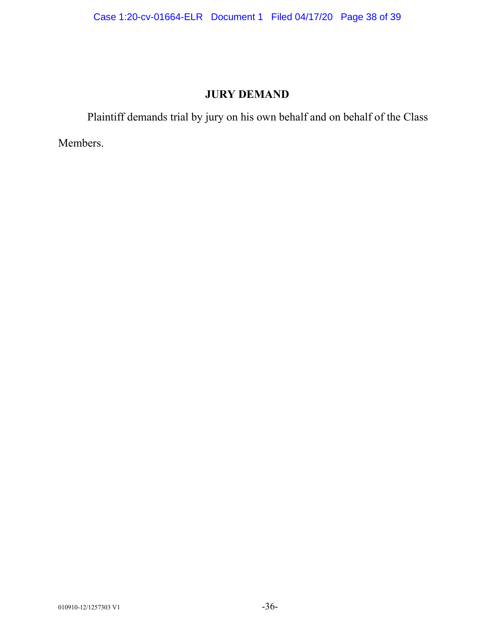## **JURY DEMAND**

Plaintiff demands trial by jury on his own behalf and on behalf of the Class

Members.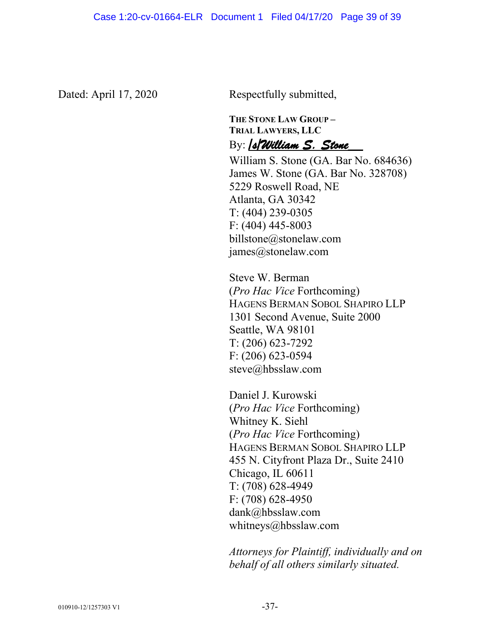Dated: April 17, 2020 Respectfully submitted,

**THE STONE LAW GROUP – TRIAL LAWYERS, LLC** By: */s/William S. Stone\_\_*

William S. Stone (GA. Bar No. 684636) James W. Stone (GA. Bar No. 328708) 5229 Roswell Road, NE Atlanta, GA 30342 T: (404) 239-0305 F: (404) 445-8003 billstone@stonelaw.com james@stonelaw.com

Steve W. Berman (*Pro Hac Vice* Forthcoming) HAGENS BERMAN SOBOL SHAPIRO LLP 1301 Second Avenue, Suite 2000 Seattle, WA 98101 T: (206) 623-7292 F: (206) 623-0594 steve@hbsslaw.com

Daniel J. Kurowski (*Pro Hac Vice* Forthcoming) Whitney K. Siehl (*Pro Hac Vice* Forthcoming) HAGENS BERMAN SOBOL SHAPIRO LLP 455 N. Cityfront Plaza Dr., Suite 2410 Chicago, IL 60611 T: (708) 628-4949 F: (708) 628-4950 dank@hbsslaw.com whitneys@hbsslaw.com

*Attorneys for Plaintiff, individually and on behalf of all others similarly situated.*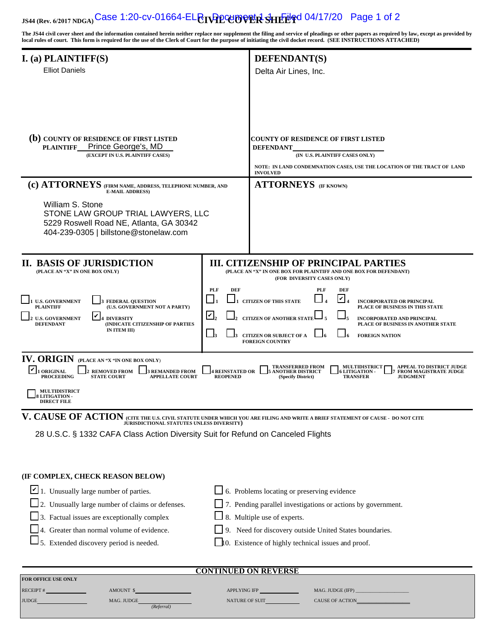# **JS44 (Rev. 6/2017 NDGA) Case 1:20-cv-01664-EL <b>CTVPLCUOVER SHETG** 04/17/20 Page 1 of 2

**The JS44 civil cover sheet and the information contained herein neither replace nor supplement the filing and service of pleadings or other papers as required by law, except as provided by local rules of court. This form is required for the use of the Clerk of Court for the purpose of initiating the civil docket record. (SEE INSTRUCTIONS ATTACHED)**

| $I.$ (a) PLAINTIFF(S)                                                                                                                                                                     |                                           | <b>DEFENDANT(S)</b>                                                                                                                                                                                                       |  |  |
|-------------------------------------------------------------------------------------------------------------------------------------------------------------------------------------------|-------------------------------------------|---------------------------------------------------------------------------------------------------------------------------------------------------------------------------------------------------------------------------|--|--|
| <b>Elliot Daniels</b>                                                                                                                                                                     |                                           | Delta Air Lines, Inc.                                                                                                                                                                                                     |  |  |
|                                                                                                                                                                                           |                                           |                                                                                                                                                                                                                           |  |  |
|                                                                                                                                                                                           |                                           |                                                                                                                                                                                                                           |  |  |
|                                                                                                                                                                                           |                                           |                                                                                                                                                                                                                           |  |  |
|                                                                                                                                                                                           |                                           |                                                                                                                                                                                                                           |  |  |
| (b) COUNTY OF RESIDENCE OF FIRST LISTED<br>Prince George's, MD<br><b>PLAINTIFF</b>                                                                                                        |                                           | COUNTY OF RESIDENCE OF FIRST LISTED<br><b>DEFENDANT</b>                                                                                                                                                                   |  |  |
| (EXCEPT IN U.S. PLAINTIFF CASES)                                                                                                                                                          |                                           | (IN U.S. PLAINTIFF CASES ONLY)                                                                                                                                                                                            |  |  |
|                                                                                                                                                                                           |                                           | NOTE: IN LAND CONDEMNATION CASES, USE THE LOCATION OF THE TRACT OF LAND<br><b>INVOLVED</b>                                                                                                                                |  |  |
| (c) ATTORNEYS (FIRM NAME, ADDRESS, TELEPHONE NUMBER, AND<br><b>E-MAIL ADDRESS)</b>                                                                                                        |                                           | <b>ATTORNEYS</b> (IF KNOWN)                                                                                                                                                                                               |  |  |
| William S. Stone                                                                                                                                                                          |                                           |                                                                                                                                                                                                                           |  |  |
| STONE LAW GROUP TRIAL LAWYERS, LLC<br>5229 Roswell Road NE, Atlanta, GA 30342                                                                                                             |                                           |                                                                                                                                                                                                                           |  |  |
| 404-239-0305   billstone@stonelaw.com                                                                                                                                                     |                                           |                                                                                                                                                                                                                           |  |  |
|                                                                                                                                                                                           |                                           |                                                                                                                                                                                                                           |  |  |
| II. BASIS OF JURISDICTION                                                                                                                                                                 |                                           | <b>III. CITIZENSHIP OF PRINCIPAL PARTIES</b>                                                                                                                                                                              |  |  |
| (PLACE AN "X" IN ONE BOX ONLY)                                                                                                                                                            |                                           | (PLACE AN "X" IN ONE BOX FOR PLAINTIFF AND ONE BOX FOR DEFENDANT)<br>(FOR DIVERSITY CASES ONLY)                                                                                                                           |  |  |
|                                                                                                                                                                                           | <b>PLF</b><br><b>DEF</b>                  | <b>PLF</b><br><b>DEF</b>                                                                                                                                                                                                  |  |  |
| <b>U.S. GOVERNMENT</b><br><b>FEDERAL QUESTION</b><br>(U.S. GOVERNMENT NOT A PARTY)<br><b>PLAINTIFF</b>                                                                                    |                                           | И<br><b>CITIZEN OF THIS STATE</b><br><b>INCORPORATED OR PRINCIPAL</b><br>PLACE OF BUSINESS IN THIS STATE                                                                                                                  |  |  |
| <b>U.S. GOVERNMENT</b><br><b>4 DIVERSITY</b><br><b>DEFENDANT</b><br>(INDICATE CITIZENSHIP OF PARTIES                                                                                      | $\boldsymbol{\mathsf{Y}},$                | <b>CITIZEN OF ANOTHER STATE</b><br><b>INCORPORATED AND PRINCIPAL</b><br>PLACE OF BUSINESS IN ANOTHER STATE                                                                                                                |  |  |
| IN ITEM III)                                                                                                                                                                              | $\Box$                                    | <b>CITIZEN OR SUBJECT OF A</b><br><b>FOREIGN NATION</b><br><b>FOREIGN COUNTRY</b>                                                                                                                                         |  |  |
|                                                                                                                                                                                           |                                           |                                                                                                                                                                                                                           |  |  |
| <b>IV. ORIGIN (PLACE AN "X "IN ONE BOX ONLY)</b><br><b>ORIGINAL</b><br><b>REMOVED FROM</b><br><b>3 REMANDED FROM</b><br><b>PROCEEDING</b><br><b>STATE COURT</b><br><b>APPELLATE COURT</b> | <b>4 REINSTATED OR</b><br><b>REOPENED</b> | <b>TRANSFERRED FROM</b><br><b>MULTIDISTRICT</b><br><b>APPEAL TO DISTRICT JUDGE</b><br><b>ANOTHER DISTRICT</b><br><b>LITIGATION -</b><br>FROM MAGISTRATE JUDGE<br><b>TRANSFER</b><br><b>JUDGMENT</b><br>(Specify District) |  |  |
| <b>MULTIDISTRICT</b><br><b>LITIGATION-</b><br><b>DIRECT FILE</b>                                                                                                                          |                                           |                                                                                                                                                                                                                           |  |  |
| V. CAUSE OF ACTION (CITE THE U.S. CIVIL STATUTE UNDER WHICH YOU ARE FILING AND WRITE A BRIEF STATEMENT OF CAUSE - DO NOT CITE JURISDICTIONAL STATUTES UNLESS DIVERSITY)                   |                                           |                                                                                                                                                                                                                           |  |  |
| 28 U.S.C. § 1332 CAFA Class Action Diversity Suit for Refund on Canceled Flights                                                                                                          |                                           |                                                                                                                                                                                                                           |  |  |
|                                                                                                                                                                                           |                                           |                                                                                                                                                                                                                           |  |  |
|                                                                                                                                                                                           |                                           |                                                                                                                                                                                                                           |  |  |
| (IF COMPLEX, CHECK REASON BELOW)                                                                                                                                                          |                                           |                                                                                                                                                                                                                           |  |  |
| 1. Unusually large number of parties.                                                                                                                                                     |                                           | $\Box$ 6. Problems locating or preserving evidence                                                                                                                                                                        |  |  |
| 2. Unusually large number of claims or defenses.                                                                                                                                          |                                           | 7. Pending parallel investigations or actions by government.                                                                                                                                                              |  |  |
| 3. Factual issues are exceptionally complex                                                                                                                                               |                                           | 8. Multiple use of experts.                                                                                                                                                                                               |  |  |
| 4. Greater than normal volume of evidence.                                                                                                                                                |                                           | 9. Need for discovery outside United States boundaries.                                                                                                                                                                   |  |  |
| $\Box$ 5. Extended discovery period is needed.                                                                                                                                            |                                           | 10. Existence of highly technical issues and proof.                                                                                                                                                                       |  |  |
|                                                                                                                                                                                           |                                           |                                                                                                                                                                                                                           |  |  |
| <b>CONTINUED ON REVERSE</b><br>FOR OFFICE USE ONLY                                                                                                                                        |                                           |                                                                                                                                                                                                                           |  |  |
| RECEIPT #<br>AMOUNT \$                                                                                                                                                                    |                                           | MAG. JUDGE (IFP)                                                                                                                                                                                                          |  |  |
| <b>JUDGE</b><br>MAG. JUDGE<br>(Referral)                                                                                                                                                  |                                           | NATURE OF SUIT<br>CAUSE OF ACTION_                                                                                                                                                                                        |  |  |